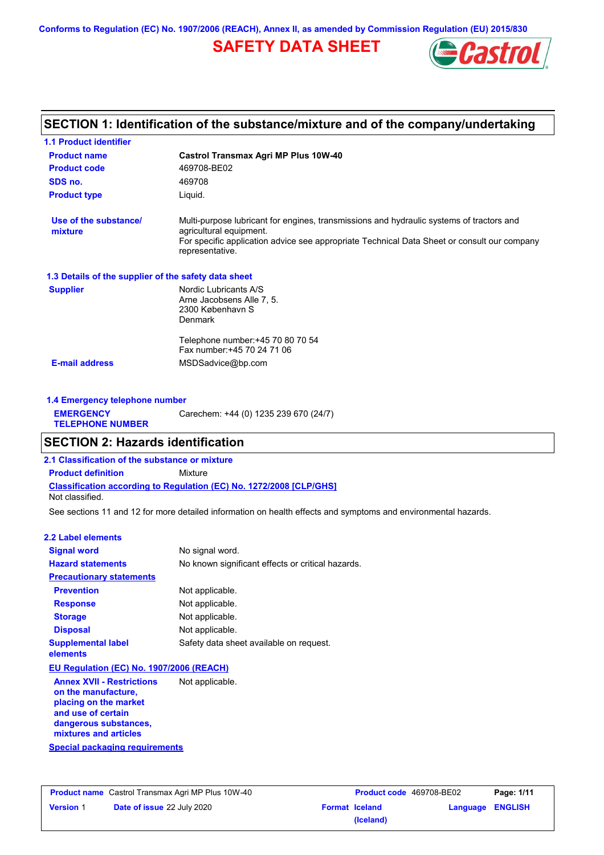**Conforms to Regulation (EC) No. 1907/2006 (REACH), Annex II, as amended by Commission Regulation (EU) 2015/830**

# **SAFETY DATA SHEET**



# **SECTION 1: Identification of the substance/mixture and of the company/undertaking**

| <b>1.1 Product identifier</b>                        |                                                                                                                                                                                                                                       |
|------------------------------------------------------|---------------------------------------------------------------------------------------------------------------------------------------------------------------------------------------------------------------------------------------|
| <b>Product name</b>                                  | <b>Castrol Transmax Agri MP Plus 10W-40</b>                                                                                                                                                                                           |
| <b>Product code</b>                                  | 469708-BE02                                                                                                                                                                                                                           |
| SDS no.                                              | 469708                                                                                                                                                                                                                                |
| <b>Product type</b>                                  | Liquid.                                                                                                                                                                                                                               |
| Use of the substance/<br>mixture                     | Multi-purpose lubricant for engines, transmissions and hydraulic systems of tractors and<br>agricultural equipment.<br>For specific application advice see appropriate Technical Data Sheet or consult our company<br>representative. |
| 1.3 Details of the supplier of the safety data sheet |                                                                                                                                                                                                                                       |
| <b>Supplier</b>                                      | Nordic Lubricants A/S<br>Arne Jacobsens Alle 7, 5.<br>2300 København S<br><b>Denmark</b>                                                                                                                                              |
| <b>E-mail address</b>                                | Telephone number: +45 70 80 70 54<br>Fax number: +45 70 24 71 06<br>MSDSadvice@bp.com                                                                                                                                                 |
|                                                      |                                                                                                                                                                                                                                       |

| 1.4 Emergency telephone number              |                                       |
|---------------------------------------------|---------------------------------------|
| <b>EMERGENCY</b><br><b>TELEPHONE NUMBER</b> | Carechem: +44 (0) 1235 239 670 (24/7) |

## **SECTION 2: Hazards identification**

**Classification according to Regulation (EC) No. 1272/2008 [CLP/GHS] 2.1 Classification of the substance or mixture Product definition** Mixture Not classified.

See sections 11 and 12 for more detailed information on health effects and symptoms and environmental hazards.

## **2.2 Label elements**

| <b>Signal word</b>                                                                                                                                       | No signal word.                                   |
|----------------------------------------------------------------------------------------------------------------------------------------------------------|---------------------------------------------------|
| <b>Hazard statements</b>                                                                                                                                 | No known significant effects or critical hazards. |
| <b>Precautionary statements</b>                                                                                                                          |                                                   |
| <b>Prevention</b>                                                                                                                                        | Not applicable.                                   |
| <b>Response</b>                                                                                                                                          | Not applicable.                                   |
| <b>Storage</b>                                                                                                                                           | Not applicable.                                   |
| <b>Disposal</b>                                                                                                                                          | Not applicable.                                   |
| <b>Supplemental label</b><br>elements                                                                                                                    | Safety data sheet available on request.           |
| EU Regulation (EC) No. 1907/2006 (REACH)                                                                                                                 |                                                   |
| <b>Annex XVII - Restrictions</b><br>on the manufacture,<br>placing on the market<br>and use of certain<br>dangerous substances,<br>mixtures and articles | Not applicable.                                   |
| Special packaging requirements                                                                                                                           |                                                   |

|                  | <b>Product name</b> Castrol Transmax Agri MP Plus 10W-40 |
|------------------|----------------------------------------------------------|
| <b>Version 1</b> | <b>Date of issue 22 July 2020</b>                        |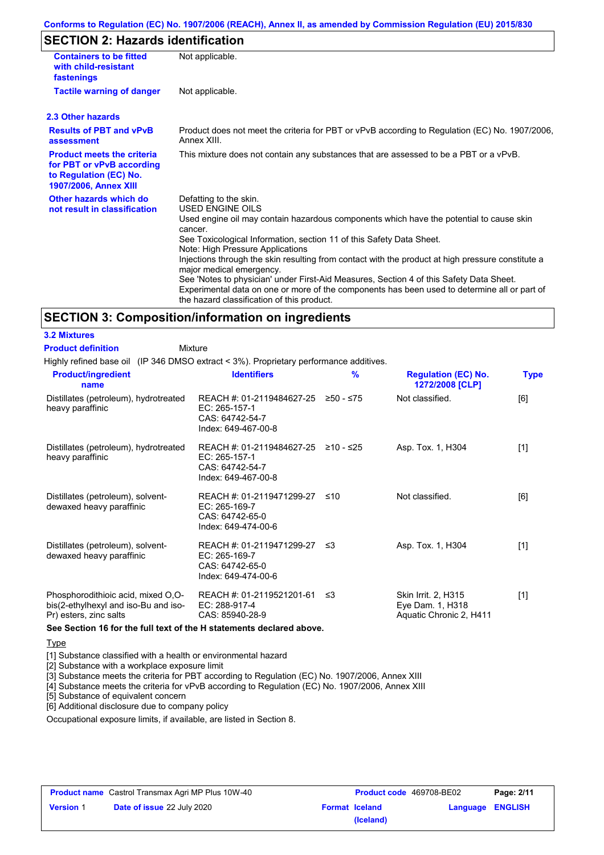### **Conforms to Regulation (EC) No. 1907/2006 (REACH), Annex II, as amended by Commission Regulation (EU) 2015/830**

# **SECTION 2: Hazards identification**

| <b>Containers to be fitted</b><br>with child-resistant<br>fastenings                                                     | Not applicable.                                                                                                                                                                                                                                                                                                                                                                                                                                                                                                                                                                                                                               |
|--------------------------------------------------------------------------------------------------------------------------|-----------------------------------------------------------------------------------------------------------------------------------------------------------------------------------------------------------------------------------------------------------------------------------------------------------------------------------------------------------------------------------------------------------------------------------------------------------------------------------------------------------------------------------------------------------------------------------------------------------------------------------------------|
| <b>Tactile warning of danger</b>                                                                                         | Not applicable.                                                                                                                                                                                                                                                                                                                                                                                                                                                                                                                                                                                                                               |
| 2.3 Other hazards                                                                                                        |                                                                                                                                                                                                                                                                                                                                                                                                                                                                                                                                                                                                                                               |
| <b>Results of PBT and vPvB</b><br>assessment                                                                             | Product does not meet the criteria for PBT or vPvB according to Regulation (EC) No. 1907/2006,<br>Annex XIII                                                                                                                                                                                                                                                                                                                                                                                                                                                                                                                                  |
| <b>Product meets the criteria</b><br>for PBT or vPvB according<br>to Regulation (EC) No.<br><b>1907/2006, Annex XIII</b> | This mixture does not contain any substances that are assessed to be a PBT or a vPvB.                                                                                                                                                                                                                                                                                                                                                                                                                                                                                                                                                         |
| Other hazards which do<br>not result in classification                                                                   | Defatting to the skin.<br><b>USED ENGINE OILS</b><br>Used engine oil may contain hazardous components which have the potential to cause skin<br>cancer.<br>See Toxicological Information, section 11 of this Safety Data Sheet.<br>Note: High Pressure Applications<br>Injections through the skin resulting from contact with the product at high pressure constitute a<br>major medical emergency.<br>See 'Notes to physician' under First-Aid Measures, Section 4 of this Safety Data Sheet.<br>Experimental data on one or more of the components has been used to determine all or part of<br>the hazard classification of this product. |

### **SECTION 3: Composition/information on ingredients**

#### **3.2 Mixtures**

Highly refined base oil (IP 346 DMSO extract < 3%). Proprietary performance additives. Mixture **Product definition**

| <b>Product/ingredient</b><br>name                                                                    | <b>Identifiers</b>                                                                   | $\frac{9}{6}$ | <b>Regulation (EC) No.</b><br>1272/2008 [CLP]                      | <b>Type</b> |
|------------------------------------------------------------------------------------------------------|--------------------------------------------------------------------------------------|---------------|--------------------------------------------------------------------|-------------|
| Distillates (petroleum), hydrotreated<br>heavy paraffinic                                            | REACH #: 01-2119484627-25<br>EC: 265-157-1<br>CAS: 64742-54-7<br>Index: 649-467-00-8 | ≥50 - ≤75     | Not classified.                                                    | [6]         |
| Distillates (petroleum), hydrotreated<br>heavy paraffinic                                            | REACH #: 01-2119484627-25<br>EC: 265-157-1<br>CAS: 64742-54-7<br>Index: 649-467-00-8 | ≥10 - ≤25     | Asp. Tox. 1, H304                                                  | $[1]$       |
| Distillates (petroleum), solvent-<br>dewaxed heavy paraffinic                                        | REACH #: 01-2119471299-27<br>EC: 265-169-7<br>CAS: 64742-65-0<br>Index: 649-474-00-6 | ≤10           | Not classified.                                                    | [6]         |
| Distillates (petroleum), solvent-<br>dewaxed heavy paraffinic                                        | REACH #: 01-2119471299-27<br>EC: 265-169-7<br>CAS: 64742-65-0<br>Index: 649-474-00-6 | ו≥ ≤          | Asp. Tox. 1, H304                                                  | $[1]$       |
| Phosphorodithioic acid, mixed O,O-<br>bis(2-ethylhexyl and iso-Bu and iso-<br>Pr) esters, zinc salts | REACH #: 01-2119521201-61<br>EC: 288-917-4<br>CAS: 85940-28-9                        | ≤3            | Skin Irrit. 2, H315<br>Eye Dam. 1, H318<br>Aquatic Chronic 2, H411 | $[1]$       |

**See Section 16 for the full text of the H statements declared above.**

### **Type**

[1] Substance classified with a health or environmental hazard

[2] Substance with a workplace exposure limit

[3] Substance meets the criteria for PBT according to Regulation (EC) No. 1907/2006, Annex XIII

[4] Substance meets the criteria for vPvB according to Regulation (EC) No. 1907/2006, Annex XIII

[5] Substance of equivalent concern

[6] Additional disclosure due to company policy

Occupational exposure limits, if available, are listed in Section 8.

| <b>Product name</b> Castrol Transmax Agri MP Plus 10W-40 |                                   | <b>Product code</b> 469708-BE02 |                       | Page: 2/11              |  |
|----------------------------------------------------------|-----------------------------------|---------------------------------|-----------------------|-------------------------|--|
| <b>Version 1</b>                                         | <b>Date of issue 22 July 2020</b> |                                 | <b>Format Iceland</b> | <b>Language ENGLISH</b> |  |
|                                                          |                                   |                                 | (Iceland)             |                         |  |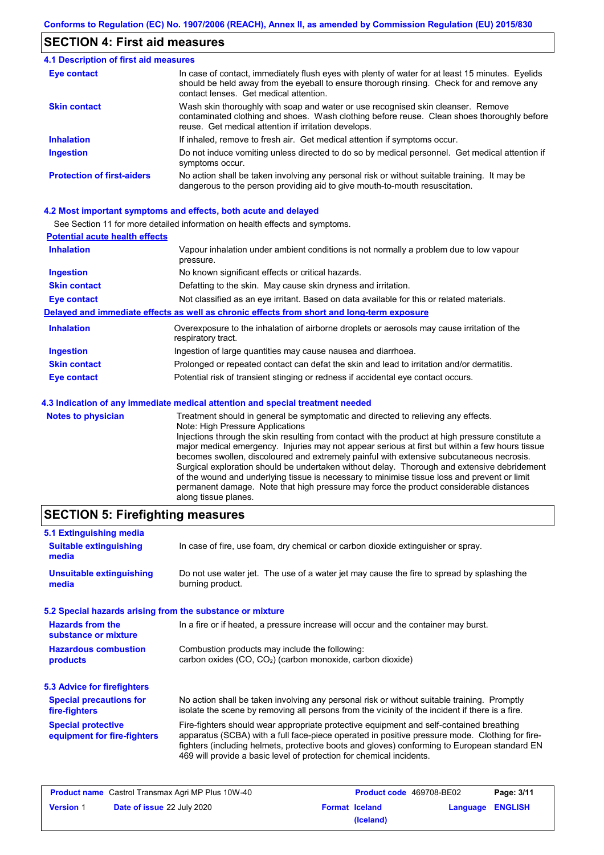## **SECTION 4: First aid measures**

#### Do not induce vomiting unless directed to do so by medical personnel. Get medical attention if symptoms occur. In case of contact, immediately flush eyes with plenty of water for at least 15 minutes. Eyelids should be held away from the eyeball to ensure thorough rinsing. Check for and remove any contact lenses. Get medical attention. **4.1 Description of first aid measures** If inhaled, remove to fresh air. Get medical attention if symptoms occur. **Ingestion Inhalation Eye contact Protection of first-aiders** No action shall be taken involving any personal risk or without suitable training. It may be dangerous to the person providing aid to give mouth-to-mouth resuscitation. **Skin contact** Wash skin thoroughly with soap and water or use recognised skin cleanser. Remove contaminated clothing and shoes. Wash clothing before reuse. Clean shoes thoroughly before reuse. Get medical attention if irritation develops.

### **4.2 Most important symptoms and effects, both acute and delayed**

See Section 11 for more detailed information on health effects and symptoms.

along tissue planes.

| <b>Potential acute health effects</b> |                                                                                                                   |
|---------------------------------------|-------------------------------------------------------------------------------------------------------------------|
| <b>Inhalation</b>                     | Vapour inhalation under ambient conditions is not normally a problem due to low vapour<br>pressure.               |
| <b>Ingestion</b>                      | No known significant effects or critical hazards.                                                                 |
| <b>Skin contact</b>                   | Defatting to the skin. May cause skin dryness and irritation.                                                     |
| <b>Eye contact</b>                    | Not classified as an eye irritant. Based on data available for this or related materials.                         |
|                                       | Delayed and immediate effects as well as chronic effects from short and long-term exposure                        |
| <b>Inhalation</b>                     | Overexposure to the inhalation of airborne droplets or aerosols may cause irritation of the<br>respiratory tract. |
| <b>Ingestion</b>                      | Ingestion of large quantities may cause nausea and diarrhoea.                                                     |
| <b>Skin contact</b>                   | Prolonged or repeated contact can defat the skin and lead to irritation and/or dermatitis.                        |
| Eye contact                           | Potential risk of transient stinging or redness if accidental eye contact occurs.                                 |
|                                       | 4.3 Indication of any immediate medical attention and special treatment needed                                    |
| Notes to physician                    | Treatment should in general be symptomatic and directed to relieving any effects                                  |

#### **es to physician** Treatment should in general be symptomatic and directed to relieving any effects. Note: High Pressure Applications Injections through the skin resulting from contact with the product at high pressure constitute a major medical emergency. Injuries may not appear serious at first but within a few hours tissue becomes swollen, discoloured and extremely painful with extensive subcutaneous necrosis. Surgical exploration should be undertaken without delay. Thorough and extensive debridement of the wound and underlying tissue is necessary to minimise tissue loss and prevent or limit

# **SECTION 5: Firefighting measures**

| 5.1 Extinguishing media                                   |                                                                                                                                                                                                                                                                                                                                                                   |  |  |
|-----------------------------------------------------------|-------------------------------------------------------------------------------------------------------------------------------------------------------------------------------------------------------------------------------------------------------------------------------------------------------------------------------------------------------------------|--|--|
| <b>Suitable extinguishing</b><br>media                    | In case of fire, use foam, dry chemical or carbon dioxide extinguisher or spray.                                                                                                                                                                                                                                                                                  |  |  |
| <b>Unsuitable extinguishing</b><br>media                  | Do not use water jet. The use of a water jet may cause the fire to spread by splashing the<br>burning product.                                                                                                                                                                                                                                                    |  |  |
| 5.2 Special hazards arising from the substance or mixture |                                                                                                                                                                                                                                                                                                                                                                   |  |  |
| <b>Hazards from the</b><br>substance or mixture           | In a fire or if heated, a pressure increase will occur and the container may burst.                                                                                                                                                                                                                                                                               |  |  |
| <b>Hazardous combustion</b><br>products                   | Combustion products may include the following:<br>carbon oxides (CO, CO <sub>2</sub> ) (carbon monoxide, carbon dioxide)                                                                                                                                                                                                                                          |  |  |
| 5.3 Advice for firefighters                               |                                                                                                                                                                                                                                                                                                                                                                   |  |  |
| <b>Special precautions for</b><br>fire-fighters           | No action shall be taken involving any personal risk or without suitable training. Promptly<br>isolate the scene by removing all persons from the vicinity of the incident if there is a fire.                                                                                                                                                                    |  |  |
| <b>Special protective</b><br>equipment for fire-fighters  | Fire-fighters should wear appropriate protective equipment and self-contained breathing<br>apparatus (SCBA) with a full face-piece operated in positive pressure mode. Clothing for fire-<br>fighters (including helmets, protective boots and gloves) conforming to European standard EN<br>469 will provide a basic level of protection for chemical incidents. |  |  |

permanent damage. Note that high pressure may force the product considerable distances

| <b>Product name</b> Castrol Transmax Agri MP Plus 10W-40 |                                   | Product code 469708-BE02 |                       | Page: 3/11       |  |
|----------------------------------------------------------|-----------------------------------|--------------------------|-----------------------|------------------|--|
| <b>Version 1</b>                                         | <b>Date of issue 22 July 2020</b> |                          | <b>Format Iceland</b> | Language ENGLISH |  |
|                                                          |                                   |                          | (Iceland)             |                  |  |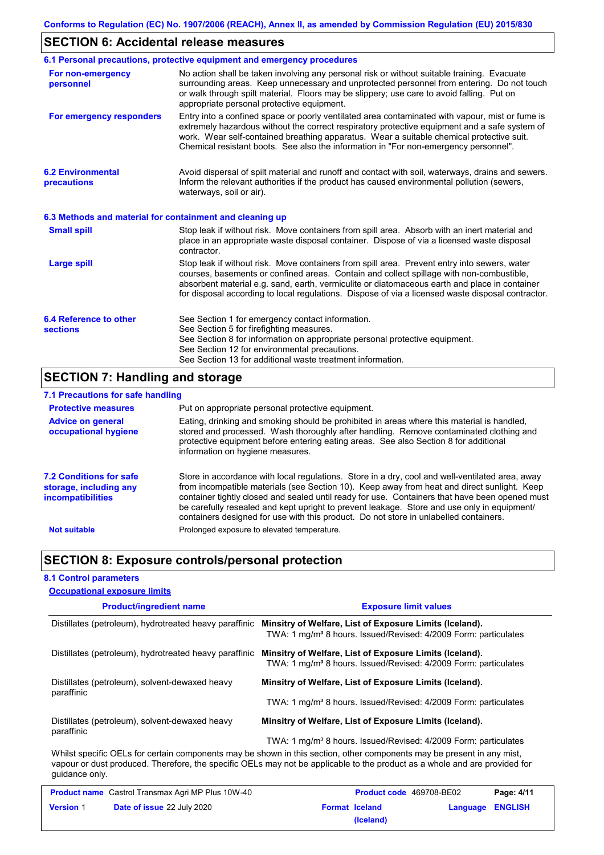# **SECTION 6: Accidental release measures**

|                                                          | 6.1 Personal precautions, protective equipment and emergency procedures                                                                                                                                                                                                                                                                                                                        |
|----------------------------------------------------------|------------------------------------------------------------------------------------------------------------------------------------------------------------------------------------------------------------------------------------------------------------------------------------------------------------------------------------------------------------------------------------------------|
| For non-emergency<br>personnel                           | No action shall be taken involving any personal risk or without suitable training. Evacuate<br>surrounding areas. Keep unnecessary and unprotected personnel from entering. Do not touch<br>or walk through spilt material. Floors may be slippery; use care to avoid falling. Put on<br>appropriate personal protective equipment.                                                            |
| For emergency responders                                 | Entry into a confined space or poorly ventilated area contaminated with vapour, mist or fume is<br>extremely hazardous without the correct respiratory protective equipment and a safe system of<br>work. Wear self-contained breathing apparatus. Wear a suitable chemical protective suit.<br>Chemical resistant boots. See also the information in "For non-emergency personnel".           |
| <b>6.2 Environmental</b><br>precautions                  | Avoid dispersal of spilt material and runoff and contact with soil, waterways, drains and sewers.<br>Inform the relevant authorities if the product has caused environmental pollution (sewers,<br>waterways, soil or air).                                                                                                                                                                    |
| 6.3 Methods and material for containment and cleaning up |                                                                                                                                                                                                                                                                                                                                                                                                |
| <b>Small spill</b>                                       | Stop leak if without risk. Move containers from spill area. Absorb with an inert material and<br>place in an appropriate waste disposal container. Dispose of via a licensed waste disposal<br>contractor.                                                                                                                                                                                     |
| <b>Large spill</b>                                       | Stop leak if without risk. Move containers from spill area. Prevent entry into sewers, water<br>courses, basements or confined areas. Contain and collect spillage with non-combustible,<br>absorbent material e.g. sand, earth, vermiculite or diatomaceous earth and place in container<br>for disposal according to local regulations. Dispose of via a licensed waste disposal contractor. |
| 6.4 Reference to other<br><b>sections</b>                | See Section 1 for emergency contact information.<br>See Section 5 for firefighting measures.<br>See Section 8 for information on appropriate personal protective equipment.<br>See Section 12 for environmental precautions.<br>See Section 13 for additional waste treatment information.                                                                                                     |

# **SECTION 7: Handling and storage**

# **7.1 Precautions for safe handling**

| <b>Protective measures</b>                                                           | Put on appropriate personal protective equipment.                                                                                                                                                                                                                                                                                                                                                                                                                                        |
|--------------------------------------------------------------------------------------|------------------------------------------------------------------------------------------------------------------------------------------------------------------------------------------------------------------------------------------------------------------------------------------------------------------------------------------------------------------------------------------------------------------------------------------------------------------------------------------|
| <b>Advice on general</b><br>occupational hygiene                                     | Eating, drinking and smoking should be prohibited in areas where this material is handled.<br>stored and processed. Wash thoroughly after handling. Remove contaminated clothing and<br>protective equipment before entering eating areas. See also Section 8 for additional<br>information on hygiene measures.                                                                                                                                                                         |
| <b>7.2 Conditions for safe</b><br>storage, including any<br><i>incompatibilities</i> | Store in accordance with local regulations. Store in a dry, cool and well-ventilated area, away<br>from incompatible materials (see Section 10). Keep away from heat and direct sunlight. Keep<br>container tightly closed and sealed until ready for use. Containers that have been opened must<br>be carefully resealed and kept upright to prevent leakage. Store and use only in equipment/<br>containers designed for use with this product. Do not store in unlabelled containers. |
| <b>Not suitable</b>                                                                  | Prolonged exposure to elevated temperature.                                                                                                                                                                                                                                                                                                                                                                                                                                              |

# **SECTION 8: Exposure controls/personal protection**

## **8.1 Control parameters**

| <b>Occupational exposure limits</b>                          |                                                                                                                                        |
|--------------------------------------------------------------|----------------------------------------------------------------------------------------------------------------------------------------|
| <b>Product/ingredient name</b>                               | <b>Exposure limit values</b>                                                                                                           |
| Distillates (petroleum), hydrotreated heavy paraffinic       | Minsitry of Welfare, List of Exposure Limits (Iceland).<br>TWA: 1 mg/m <sup>3</sup> 8 hours. Issued/Revised: 4/2009 Form: particulates |
| Distillates (petroleum), hydrotreated heavy paraffinic       | Minsitry of Welfare, List of Exposure Limits (Iceland).<br>TWA: 1 mg/m <sup>3</sup> 8 hours. Issued/Revised: 4/2009 Form: particulates |
| Distillates (petroleum), solvent-dewaxed heavy               | Minsitry of Welfare, List of Exposure Limits (Iceland).                                                                                |
| paraffinic                                                   | TWA: 1 mg/m <sup>3</sup> 8 hours. Issued/Revised: 4/2009 Form: particulates                                                            |
| Distillates (petroleum), solvent-dewaxed heavy<br>paraffinic | Minsitry of Welfare, List of Exposure Limits (Iceland).                                                                                |
|                                                              | TWA: 1 mg/m <sup>3</sup> 8 hours. Issued/Revised: 4/2009 Form: particulates                                                            |
|                                                              | Whilst specific OELs for certain components may be shown in this section, other components may be present in any mist.                 |

Whilst specific OELs for certain components may be shown in this section, other components may be present in any mist, vapour or dust produced. Therefore, the specific OELs may not be applicable to the product as a whole and are provided for guidance only.

| <b>Product name</b> Castrol Transmax Agri MP Plus 10W-40                       |  | <b>Product code</b> 469708-BE02 |                  | Page: 4/11 |  |
|--------------------------------------------------------------------------------|--|---------------------------------|------------------|------------|--|
| <b>Date of issue 22 July 2020</b><br><b>Version 1</b><br><b>Format Iceland</b> |  |                                 | Language ENGLISH |            |  |
|                                                                                |  |                                 | (Iceland)        |            |  |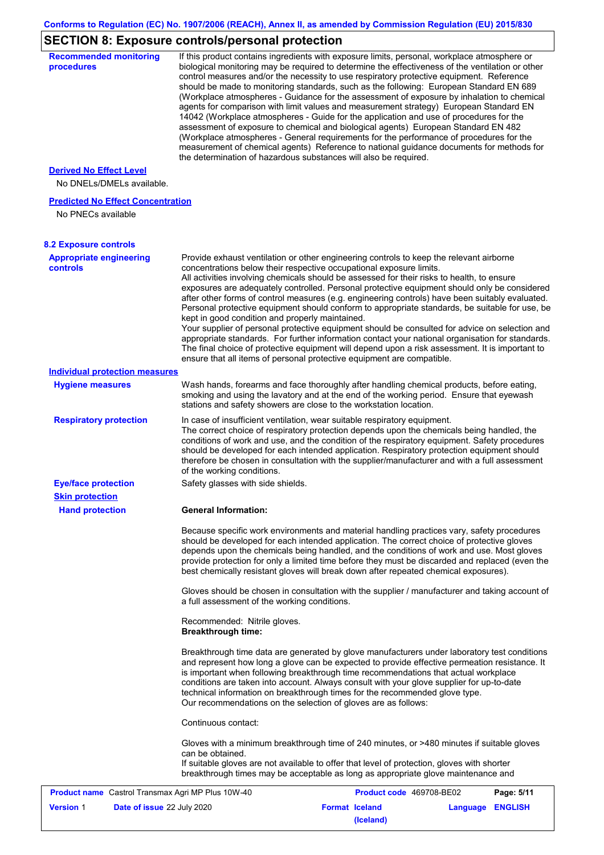# **SECTION 8: Exposure controls/personal protection**

| <b>Recommended monitoring</b><br>procedures                    | If this product contains ingredients with exposure limits, personal, workplace atmosphere or<br>biological monitoring may be required to determine the effectiveness of the ventilation or other<br>control measures and/or the necessity to use respiratory protective equipment. Reference<br>should be made to monitoring standards, such as the following: European Standard EN 689<br>(Workplace atmospheres - Guidance for the assessment of exposure by inhalation to chemical<br>agents for comparison with limit values and measurement strategy) European Standard EN<br>14042 (Workplace atmospheres - Guide for the application and use of procedures for the<br>assessment of exposure to chemical and biological agents) European Standard EN 482<br>(Workplace atmospheres - General requirements for the performance of procedures for the<br>measurement of chemical agents) Reference to national guidance documents for methods for<br>the determination of hazardous substances will also be required. |
|----------------------------------------------------------------|----------------------------------------------------------------------------------------------------------------------------------------------------------------------------------------------------------------------------------------------------------------------------------------------------------------------------------------------------------------------------------------------------------------------------------------------------------------------------------------------------------------------------------------------------------------------------------------------------------------------------------------------------------------------------------------------------------------------------------------------------------------------------------------------------------------------------------------------------------------------------------------------------------------------------------------------------------------------------------------------------------------------------|
| <b>Derived No Effect Level</b>                                 |                                                                                                                                                                                                                                                                                                                                                                                                                                                                                                                                                                                                                                                                                                                                                                                                                                                                                                                                                                                                                            |
| No DNELs/DMELs available.                                      |                                                                                                                                                                                                                                                                                                                                                                                                                                                                                                                                                                                                                                                                                                                                                                                                                                                                                                                                                                                                                            |
| <b>Predicted No Effect Concentration</b><br>No PNECs available |                                                                                                                                                                                                                                                                                                                                                                                                                                                                                                                                                                                                                                                                                                                                                                                                                                                                                                                                                                                                                            |
| <b>8.2 Exposure controls</b>                                   |                                                                                                                                                                                                                                                                                                                                                                                                                                                                                                                                                                                                                                                                                                                                                                                                                                                                                                                                                                                                                            |
| <b>Appropriate engineering</b><br>controls                     | Provide exhaust ventilation or other engineering controls to keep the relevant airborne<br>concentrations below their respective occupational exposure limits.<br>All activities involving chemicals should be assessed for their risks to health, to ensure<br>exposures are adequately controlled. Personal protective equipment should only be considered<br>after other forms of control measures (e.g. engineering controls) have been suitably evaluated.<br>Personal protective equipment should conform to appropriate standards, be suitable for use, be<br>kept in good condition and properly maintained.<br>Your supplier of personal protective equipment should be consulted for advice on selection and<br>appropriate standards. For further information contact your national organisation for standards.<br>The final choice of protective equipment will depend upon a risk assessment. It is important to<br>ensure that all items of personal protective equipment are compatible.                    |
| <b>Individual protection measures</b>                          |                                                                                                                                                                                                                                                                                                                                                                                                                                                                                                                                                                                                                                                                                                                                                                                                                                                                                                                                                                                                                            |
| <b>Hygiene measures</b>                                        | Wash hands, forearms and face thoroughly after handling chemical products, before eating,<br>smoking and using the lavatory and at the end of the working period. Ensure that eyewash<br>stations and safety showers are close to the workstation location.                                                                                                                                                                                                                                                                                                                                                                                                                                                                                                                                                                                                                                                                                                                                                                |
| <b>Respiratory protection</b>                                  | In case of insufficient ventilation, wear suitable respiratory equipment.<br>The correct choice of respiratory protection depends upon the chemicals being handled, the<br>conditions of work and use, and the condition of the respiratory equipment. Safety procedures<br>should be developed for each intended application. Respiratory protection equipment should<br>therefore be chosen in consultation with the supplier/manufacturer and with a full assessment<br>of the working conditions.                                                                                                                                                                                                                                                                                                                                                                                                                                                                                                                      |
| <b>Eye/face protection</b>                                     | Safety glasses with side shields.                                                                                                                                                                                                                                                                                                                                                                                                                                                                                                                                                                                                                                                                                                                                                                                                                                                                                                                                                                                          |
| <b>Skin protection</b>                                         |                                                                                                                                                                                                                                                                                                                                                                                                                                                                                                                                                                                                                                                                                                                                                                                                                                                                                                                                                                                                                            |
| <b>Hand protection</b>                                         | <b>General Information:</b>                                                                                                                                                                                                                                                                                                                                                                                                                                                                                                                                                                                                                                                                                                                                                                                                                                                                                                                                                                                                |
|                                                                | Because specific work environments and material handling practices vary, safety procedures<br>should be developed for each intended application. The correct choice of protective gloves<br>depends upon the chemicals being handled, and the conditions of work and use. Most gloves<br>provide protection for only a limited time before they must be discarded and replaced (even the<br>best chemically resistant gloves will break down after repeated chemical exposures).                                                                                                                                                                                                                                                                                                                                                                                                                                                                                                                                           |
|                                                                | Gloves should be chosen in consultation with the supplier / manufacturer and taking account of<br>a full assessment of the working conditions.                                                                                                                                                                                                                                                                                                                                                                                                                                                                                                                                                                                                                                                                                                                                                                                                                                                                             |
|                                                                | Recommended: Nitrile gloves.<br><b>Breakthrough time:</b>                                                                                                                                                                                                                                                                                                                                                                                                                                                                                                                                                                                                                                                                                                                                                                                                                                                                                                                                                                  |
|                                                                | Breakthrough time data are generated by glove manufacturers under laboratory test conditions<br>and represent how long a glove can be expected to provide effective permeation resistance. It<br>is important when following breakthrough time recommendations that actual workplace<br>conditions are taken into account. Always consult with your glove supplier for up-to-date<br>technical information on breakthrough times for the recommended glove type.<br>Our recommendations on the selection of gloves are as follows:                                                                                                                                                                                                                                                                                                                                                                                                                                                                                         |
|                                                                | Continuous contact:                                                                                                                                                                                                                                                                                                                                                                                                                                                                                                                                                                                                                                                                                                                                                                                                                                                                                                                                                                                                        |
|                                                                | Gloves with a minimum breakthrough time of 240 minutes, or >480 minutes if suitable gloves<br>can be obtained.<br>If suitable gloves are not available to offer that level of protection, gloves with shorter<br>breakthrough times may be acceptable as long as appropriate glove maintenance and                                                                                                                                                                                                                                                                                                                                                                                                                                                                                                                                                                                                                                                                                                                         |
| Product name Castrol Transmax Agri MP Plus 10W-40              | Product code 469708-BE02<br>Page: 5/11                                                                                                                                                                                                                                                                                                                                                                                                                                                                                                                                                                                                                                                                                                                                                                                                                                                                                                                                                                                     |
| <b>Version 1</b><br>Date of issue 22 July 2020                 | <b>Format Iceland</b><br>Language ENGLISH<br>(Iceland)                                                                                                                                                                                                                                                                                                                                                                                                                                                                                                                                                                                                                                                                                                                                                                                                                                                                                                                                                                     |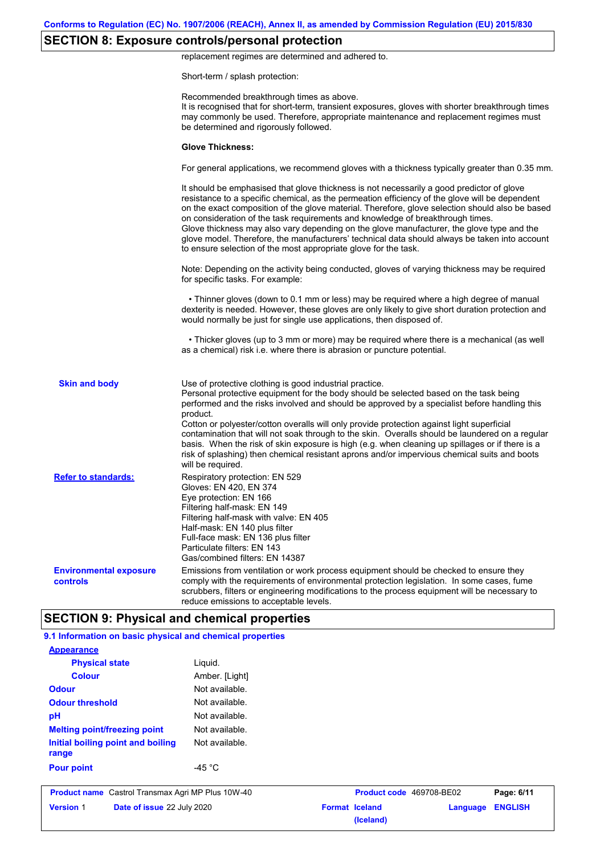# **SECTION 8: Exposure controls/personal protection**

replacement regimes are determined and adhered to.

Short-term / splash protection:

|                                           | Recommended breakthrough times as above.<br>It is recognised that for short-term, transient exposures, gloves with shorter breakthrough times<br>may commonly be used. Therefore, appropriate maintenance and replacement regimes must<br>be determined and rigorously followed.                                                                                                                                                                                                                                                                                                                                                                                                      |
|-------------------------------------------|---------------------------------------------------------------------------------------------------------------------------------------------------------------------------------------------------------------------------------------------------------------------------------------------------------------------------------------------------------------------------------------------------------------------------------------------------------------------------------------------------------------------------------------------------------------------------------------------------------------------------------------------------------------------------------------|
|                                           | <b>Glove Thickness:</b>                                                                                                                                                                                                                                                                                                                                                                                                                                                                                                                                                                                                                                                               |
|                                           | For general applications, we recommend gloves with a thickness typically greater than 0.35 mm.                                                                                                                                                                                                                                                                                                                                                                                                                                                                                                                                                                                        |
|                                           | It should be emphasised that glove thickness is not necessarily a good predictor of glove<br>resistance to a specific chemical, as the permeation efficiency of the glove will be dependent<br>on the exact composition of the glove material. Therefore, glove selection should also be based<br>on consideration of the task requirements and knowledge of breakthrough times.<br>Glove thickness may also vary depending on the glove manufacturer, the glove type and the<br>glove model. Therefore, the manufacturers' technical data should always be taken into account<br>to ensure selection of the most appropriate glove for the task.                                     |
|                                           | Note: Depending on the activity being conducted, gloves of varying thickness may be required<br>for specific tasks. For example:                                                                                                                                                                                                                                                                                                                                                                                                                                                                                                                                                      |
|                                           | • Thinner gloves (down to 0.1 mm or less) may be required where a high degree of manual<br>dexterity is needed. However, these gloves are only likely to give short duration protection and<br>would normally be just for single use applications, then disposed of.                                                                                                                                                                                                                                                                                                                                                                                                                  |
|                                           | • Thicker gloves (up to 3 mm or more) may be required where there is a mechanical (as well<br>as a chemical) risk i.e. where there is abrasion or puncture potential.                                                                                                                                                                                                                                                                                                                                                                                                                                                                                                                 |
| <b>Skin and body</b>                      | Use of protective clothing is good industrial practice.<br>Personal protective equipment for the body should be selected based on the task being<br>performed and the risks involved and should be approved by a specialist before handling this<br>product.<br>Cotton or polyester/cotton overalls will only provide protection against light superficial<br>contamination that will not soak through to the skin. Overalls should be laundered on a regular<br>basis. When the risk of skin exposure is high (e.g. when cleaning up spillages or if there is a<br>risk of splashing) then chemical resistant aprons and/or impervious chemical suits and boots<br>will be required. |
| <b>Refer to standards:</b>                | Respiratory protection: EN 529<br>Gloves: EN 420, EN 374<br>Eye protection: EN 166<br>Filtering half-mask: EN 149<br>Filtering half-mask with valve: EN 405<br>Half-mask: EN 140 plus filter<br>Full-face mask: EN 136 plus filter<br>Particulate filters: EN 143<br>Gas/combined filters: EN 14387                                                                                                                                                                                                                                                                                                                                                                                   |
| <b>Environmental exposure</b><br>controls | Emissions from ventilation or work process equipment should be checked to ensure they<br>comply with the requirements of environmental protection legislation. In some cases, fume<br>scrubbers, filters or engineering modifications to the process equipment will be necessary to<br>reduce emissions to acceptable levels.                                                                                                                                                                                                                                                                                                                                                         |
|                                           | <b>SECTION 9: Physical and chemical properties</b>                                                                                                                                                                                                                                                                                                                                                                                                                                                                                                                                                                                                                                    |

| <b>Version 1</b><br>Date of issue 22 July 2020           |                  | <b>Format Iceland</b> | (Iceland) | Language                 | <b>ENGLISH</b> |
|----------------------------------------------------------|------------------|-----------------------|-----------|--------------------------|----------------|
| <b>Product name</b> Castrol Transmax Agri MP Plus 10W-40 |                  |                       |           | Product code 469708-BE02 | Page: 6/11     |
| <b>Pour point</b>                                        | -45 $^{\circ}$ C |                       |           |                          |                |
| Initial boiling point and boiling<br>range               | Not available.   |                       |           |                          |                |
| <b>Melting point/freezing point</b>                      | Not available.   |                       |           |                          |                |
| pH                                                       | Not available.   |                       |           |                          |                |
| <b>Odour threshold</b>                                   | Not available.   |                       |           |                          |                |
| <b>Odour</b>                                             | Not available.   |                       |           |                          |                |
| <b>Colour</b>                                            | Amber. [Light]   |                       |           |                          |                |
| <b>Physical state</b>                                    | Liquid.          |                       |           |                          |                |
| <b>Appearance</b>                                        |                  |                       |           |                          |                |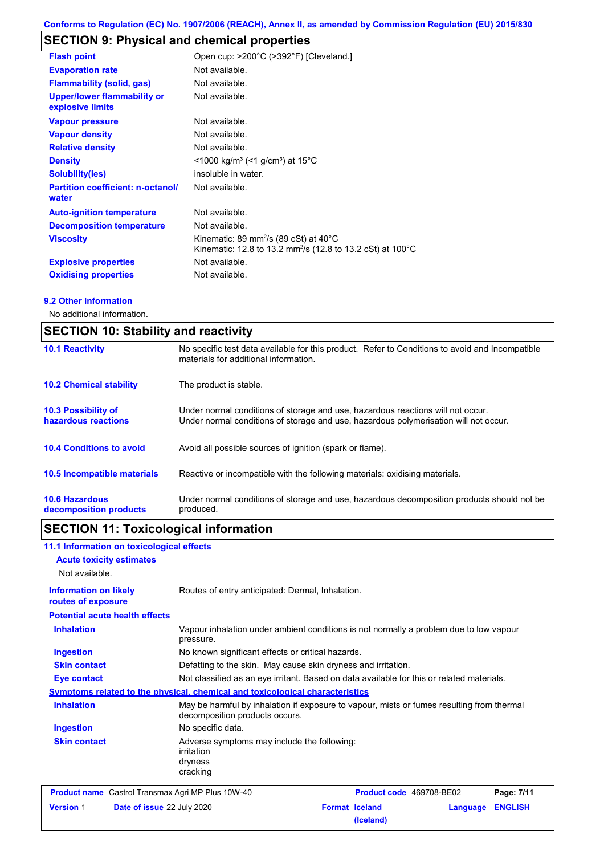# **SECTION 9: Physical and chemical properties**

| <b>Flash point</b>                                     | Open cup: >200°C (>392°F) [Cleveland.]                                                                                                 |
|--------------------------------------------------------|----------------------------------------------------------------------------------------------------------------------------------------|
| <b>Evaporation rate</b>                                | Not available.                                                                                                                         |
| <b>Flammability (solid, gas)</b>                       | Not available.                                                                                                                         |
| <b>Upper/lower flammability or</b><br>explosive limits | Not available.                                                                                                                         |
| <b>Vapour pressure</b>                                 | Not available.                                                                                                                         |
| <b>Vapour density</b>                                  | Not available.                                                                                                                         |
| <b>Relative density</b>                                | Not available.                                                                                                                         |
| <b>Density</b>                                         | $<$ 1000 kg/m <sup>3</sup> (<1 g/cm <sup>3</sup> ) at 15 <sup>°</sup> C                                                                |
| <b>Solubility(ies)</b>                                 | insoluble in water.                                                                                                                    |
| <b>Partition coefficient: n-octanol/</b><br>water      | Not available.                                                                                                                         |
| <b>Auto-ignition temperature</b>                       | Not available.                                                                                                                         |
| <b>Decomposition temperature</b>                       | Not available.                                                                                                                         |
| <b>Viscosity</b>                                       | Kinematic: 89 mm <sup>2</sup> /s (89 cSt) at $40^{\circ}$ C<br>Kinematic: 12.8 to 13.2 mm <sup>2</sup> /s (12.8 to 13.2 cSt) at 100 °C |
| <b>Explosive properties</b>                            | Not available.                                                                                                                         |
| <b>Oxidising properties</b>                            | Not available.                                                                                                                         |

### **9.2 Other information**

No additional information.

| <b>SECTION 10: Stability and reactivity</b>       |                                                                                                                                                                         |  |  |
|---------------------------------------------------|-------------------------------------------------------------------------------------------------------------------------------------------------------------------------|--|--|
| <b>10.1 Reactivity</b>                            | No specific test data available for this product. Refer to Conditions to avoid and Incompatible<br>materials for additional information.                                |  |  |
| <b>10.2 Chemical stability</b>                    | The product is stable.                                                                                                                                                  |  |  |
| <b>10.3 Possibility of</b><br>hazardous reactions | Under normal conditions of storage and use, hazardous reactions will not occur.<br>Under normal conditions of storage and use, hazardous polymerisation will not occur. |  |  |
| <b>10.4 Conditions to avoid</b>                   | Avoid all possible sources of ignition (spark or flame).                                                                                                                |  |  |
| 10.5 Incompatible materials                       | Reactive or incompatible with the following materials: oxidising materials.                                                                                             |  |  |
| <b>10.6 Hazardous</b><br>decomposition products   | Under normal conditions of storage and use, hazardous decomposition products should not be<br>produced.                                                                 |  |  |

# **SECTION 11: Toxicological information**

| 11.1 Information on toxicological effects<br><b>Acute toxicity estimates</b><br>Not available. |                                                                                                                             |                                    |          |                |
|------------------------------------------------------------------------------------------------|-----------------------------------------------------------------------------------------------------------------------------|------------------------------------|----------|----------------|
| <b>Information on likely</b><br>routes of exposure                                             | Routes of entry anticipated: Dermal, Inhalation.                                                                            |                                    |          |                |
| <b>Potential acute health effects</b>                                                          |                                                                                                                             |                                    |          |                |
| <b>Inhalation</b>                                                                              | Vapour inhalation under ambient conditions is not normally a problem due to low vapour<br>pressure.                         |                                    |          |                |
| <b>Ingestion</b>                                                                               | No known significant effects or critical hazards.                                                                           |                                    |          |                |
| <b>Skin contact</b>                                                                            | Defatting to the skin. May cause skin dryness and irritation.                                                               |                                    |          |                |
| <b>Eye contact</b>                                                                             | Not classified as an eye irritant. Based on data available for this or related materials.                                   |                                    |          |                |
|                                                                                                | <u>Symptoms related to the physical, chemical and toxicological characteristics</u>                                         |                                    |          |                |
| <b>Inhalation</b>                                                                              | May be harmful by inhalation if exposure to vapour, mists or fumes resulting from thermal<br>decomposition products occurs. |                                    |          |                |
| <b>Ingestion</b>                                                                               | No specific data.                                                                                                           |                                    |          |                |
| <b>Skin contact</b>                                                                            | Adverse symptoms may include the following:<br>irritation<br>dryness<br>cracking                                            |                                    |          |                |
| <b>Product name</b> Castrol Transmax Agri MP Plus 10W-40                                       |                                                                                                                             | Product code 469708-BE02           |          | Page: 7/11     |
| Date of issue 22 July 2020<br><b>Version 1</b>                                                 |                                                                                                                             | <b>Format Iceland</b><br>(Iceland) | Language | <b>ENGLISH</b> |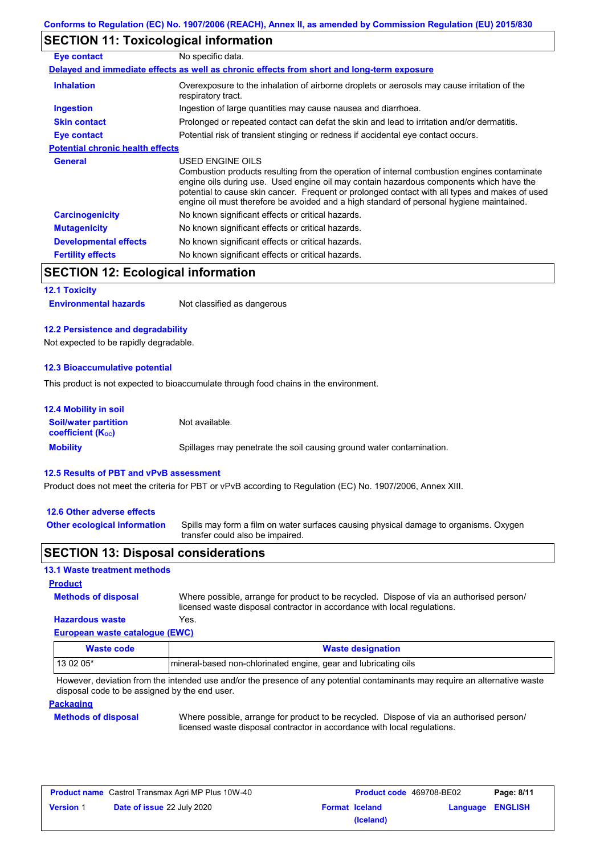## **SECTION 11: Toxicological information**

| Eye contact                             | No specific data.                                                                                                                                                                                                                                                                                                                                                                                        |
|-----------------------------------------|----------------------------------------------------------------------------------------------------------------------------------------------------------------------------------------------------------------------------------------------------------------------------------------------------------------------------------------------------------------------------------------------------------|
|                                         | Delayed and immediate effects as well as chronic effects from short and long-term exposure                                                                                                                                                                                                                                                                                                               |
| <b>Inhalation</b>                       | Overexposure to the inhalation of airborne droplets or aerosols may cause irritation of the<br>respiratory tract.                                                                                                                                                                                                                                                                                        |
| <b>Ingestion</b>                        | Ingestion of large quantities may cause nausea and diarrhoea.                                                                                                                                                                                                                                                                                                                                            |
| <b>Skin contact</b>                     | Prolonged or repeated contact can defat the skin and lead to irritation and/or dermatitis.                                                                                                                                                                                                                                                                                                               |
| Eye contact                             | Potential risk of transient stinging or redness if accidental eye contact occurs.                                                                                                                                                                                                                                                                                                                        |
| <b>Potential chronic health effects</b> |                                                                                                                                                                                                                                                                                                                                                                                                          |
| <b>General</b>                          | USED ENGINE OILS<br>Combustion products resulting from the operation of internal combustion engines contaminate<br>engine oils during use. Used engine oil may contain hazardous components which have the<br>potential to cause skin cancer. Frequent or prolonged contact with all types and makes of used<br>engine oil must therefore be avoided and a high standard of personal hygiene maintained. |
| <b>Carcinogenicity</b>                  | No known significant effects or critical hazards.                                                                                                                                                                                                                                                                                                                                                        |
| <b>Mutagenicity</b>                     | No known significant effects or critical hazards.                                                                                                                                                                                                                                                                                                                                                        |
| <b>Developmental effects</b>            | No known significant effects or critical hazards.                                                                                                                                                                                                                                                                                                                                                        |
| <b>Fertility effects</b>                | No known significant effects or critical hazards.                                                                                                                                                                                                                                                                                                                                                        |

# **SECTION 12: Ecological information**

#### **12.1 Toxicity**

**Environmental hazards** Not classified as dangerous

#### **12.2 Persistence and degradability**

Not expected to be rapidly degradable.

#### **12.3 Bioaccumulative potential**

This product is not expected to bioaccumulate through food chains in the environment.

| <b>12.4 Mobility in soil</b>                            |                                                                      |
|---------------------------------------------------------|----------------------------------------------------------------------|
| <b>Soil/water partition</b><br><b>coefficient (Koc)</b> | Not available.                                                       |
| <b>Mobility</b>                                         | Spillages may penetrate the soil causing ground water contamination. |

#### **12.5 Results of PBT and vPvB assessment**

Product does not meet the criteria for PBT or vPvB according to Regulation (EC) No. 1907/2006, Annex XIII.

#### **12.6 Other adverse effects**

**Other ecological information**

Spills may form a film on water surfaces causing physical damage to organisms. Oxygen transfer could also be impaired.

## **SECTION 13: Disposal considerations**

#### **13.1 Waste treatment methods**

**Methods of disposal**

**Product**

**Hazardous waste** Yes. Where possible, arrange for product to be recycled. Dispose of via an authorised person/ licensed waste disposal contractor in accordance with local regulations.

## **European waste catalogue (EWC)**

| Waste code | <b>Waste designation</b>                                        |
|------------|-----------------------------------------------------------------|
| 13 02 05*  | mineral-based non-chlorinated engine, gear and lubricating oils |

However, deviation from the intended use and/or the presence of any potential contaminants may require an alternative waste disposal code to be assigned by the end user.

#### **Packaging**

#### **Methods of disposal**

Where possible, arrange for product to be recycled. Dispose of via an authorised person/ licensed waste disposal contractor in accordance with local regulations.

| <b>Product name</b> Castrol Transmax Agri MP Plus 10W-40 |                                   | <b>Product code</b> 469708-BE02 |                       | Page: 8/11       |  |
|----------------------------------------------------------|-----------------------------------|---------------------------------|-----------------------|------------------|--|
| <b>Version 1</b>                                         | <b>Date of issue 22 July 2020</b> |                                 | <b>Format Iceland</b> | Language ENGLISH |  |
|                                                          |                                   |                                 | (Iceland)             |                  |  |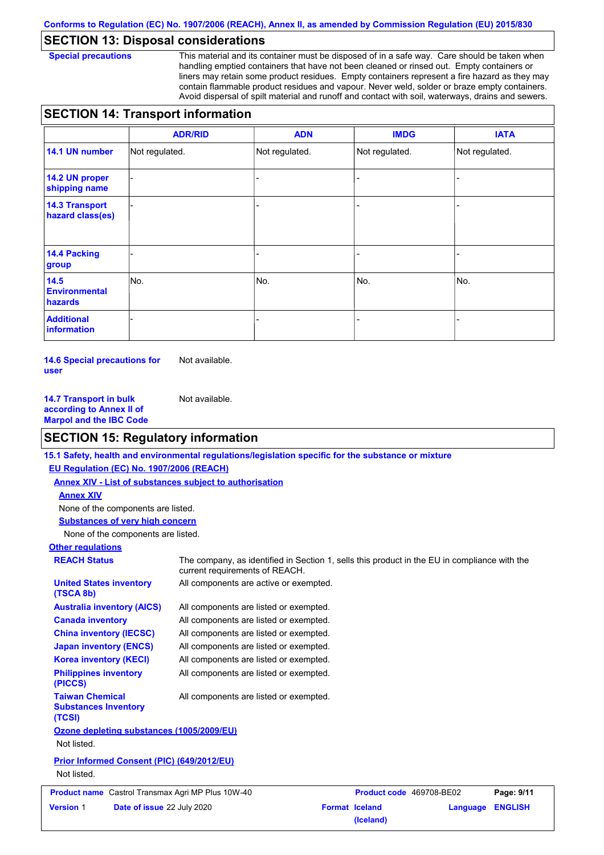## **SECTION 13: Disposal considerations**

**Special precautions** This material and its container must be disposed of in a safe way. Care should be taken when handling emptied containers that have not been cleaned or rinsed out. Empty containers or liners may retain some product residues. Empty containers represent a fire hazard as they may contain flammable product residues and vapour. Never weld, solder or braze empty containers. Avoid dispersal of spilt material and runoff and contact with soil, waterways, drains and sewers.

# **SECTION 14: Transport information**

|                                           | <b>ADR/RID</b> | <b>ADN</b>     | <b>IMDG</b>    | <b>IATA</b>    |  |  |
|-------------------------------------------|----------------|----------------|----------------|----------------|--|--|
| 14.1 UN number                            | Not regulated. | Not regulated. | Not regulated. | Not regulated. |  |  |
| 14.2 UN proper<br>shipping name           |                |                |                |                |  |  |
| <b>14.3 Transport</b><br>hazard class(es) |                |                |                |                |  |  |
| 14.4 Packing<br>group                     |                |                | ۰              |                |  |  |
| 14.5<br><b>Environmental</b><br>hazards   | No.            | No.            | No.            | No.            |  |  |
| <b>Additional</b><br>information          |                |                | -              |                |  |  |

**14.6 Special precautions for user** Not available.

**14.7 Transport in bulk according to Annex II of Marpol and the IBC Code** Not available.

## **SECTION 15: Regulatory information**

**15.1 Safety, health and environmental regulations/legislation specific for the substance or mixture**

**EU Regulation (EC) No. 1907/2006 (REACH)**

**Annex XIV - List of substances subject to authorisation**

#### **Annex XIV**

None of the components are listed.

**Substances of very high concern**

None of the components are listed.

# **Other regulations**

## **REACH Status** The company, as identified in Section 1, sells this product in the EU in compliance with the

| <b>Version 1</b>                            | Date of issue 22 July 2020                 |                                                          | <b>Format Iceland</b>    | Language | <b>ENGLISH</b> |
|---------------------------------------------|--------------------------------------------|----------------------------------------------------------|--------------------------|----------|----------------|
|                                             |                                            | <b>Product name</b> Castrol Transmax Agri MP Plus 10W-40 | Product code 469708-BE02 |          | Page: 9/11     |
| Not listed.                                 |                                            |                                                          |                          |          |                |
|                                             | Prior Informed Consent (PIC) (649/2012/EU) |                                                          |                          |          |                |
| Not listed.                                 |                                            |                                                          |                          |          |                |
|                                             | Ozone depleting substances (1005/2009/EU)  |                                                          |                          |          |                |
| <b>Substances Inventory</b><br>(TCSI)       |                                            |                                                          |                          |          |                |
| <b>Taiwan Chemical</b>                      |                                            | All components are listed or exempted.                   |                          |          |                |
| <b>Philippines inventory</b><br>(PICCS)     |                                            | All components are listed or exempted.                   |                          |          |                |
| <b>Korea inventory (KECI)</b>               |                                            | All components are listed or exempted.                   |                          |          |                |
| <b>Japan inventory (ENCS)</b>               |                                            | All components are listed or exempted.                   |                          |          |                |
|                                             | <b>China inventory (IECSC)</b>             | All components are listed or exempted.                   |                          |          |                |
| <b>Canada inventory</b>                     |                                            | All components are listed or exempted.                   |                          |          |                |
|                                             | <b>Australia inventory (AICS)</b>          | All components are listed or exempted.                   |                          |          |                |
| <b>United States inventory</b><br>(TSCA 8b) |                                            | All components are active or exempted.                   |                          |          |                |
|                                             |                                            | current requirements of REACH.                           |                          |          |                |

**(Iceland)**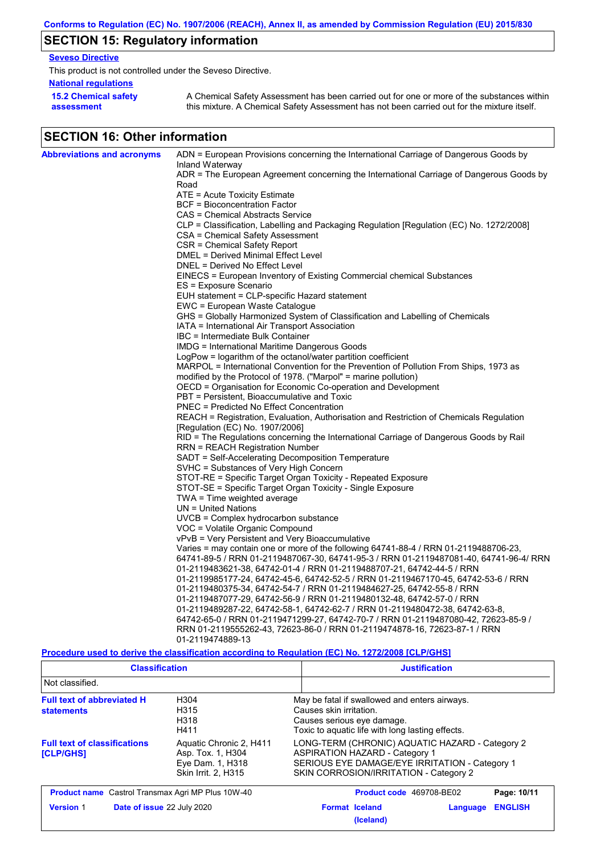# **SECTION 15: Regulatory information**

## **Seveso Directive**

This product is not controlled under the Seveso Directive.

## **National regulations**

**15.2 Chemical safety assessment**

A Chemical Safety Assessment has been carried out for one or more of the substances within this mixture. A Chemical Safety Assessment has not been carried out for the mixture itself.

# **SECTION 16: Other information**

| <b>Abbreviations and acronyms</b> | ADN = European Provisions concerning the International Carriage of Dangerous Goods by                       |
|-----------------------------------|-------------------------------------------------------------------------------------------------------------|
|                                   | Inland Waterway<br>ADR = The European Agreement concerning the International Carriage of Dangerous Goods by |
|                                   | Road                                                                                                        |
|                                   | $ATE = Acute Toxicity Estimate$                                                                             |
|                                   | BCF = Bioconcentration Factor                                                                               |
|                                   | CAS = Chemical Abstracts Service                                                                            |
|                                   | CLP = Classification, Labelling and Packaging Regulation [Regulation (EC) No. 1272/2008]                    |
|                                   | CSA = Chemical Safety Assessment                                                                            |
|                                   | CSR = Chemical Safety Report                                                                                |
|                                   | DMEL = Derived Minimal Effect Level                                                                         |
|                                   | DNEL = Derived No Effect Level                                                                              |
|                                   | EINECS = European Inventory of Existing Commercial chemical Substances                                      |
|                                   | ES = Exposure Scenario                                                                                      |
|                                   | EUH statement = CLP-specific Hazard statement                                                               |
|                                   | EWC = European Waste Catalogue                                                                              |
|                                   | GHS = Globally Harmonized System of Classification and Labelling of Chemicals                               |
|                                   | IATA = International Air Transport Association<br>IBC = Intermediate Bulk Container                         |
|                                   | <b>IMDG = International Maritime Dangerous Goods</b>                                                        |
|                                   | LogPow = logarithm of the octanol/water partition coefficient                                               |
|                                   | MARPOL = International Convention for the Prevention of Pollution From Ships, 1973 as                       |
|                                   | modified by the Protocol of 1978. ("Marpol" = marine pollution)                                             |
|                                   | OECD = Organisation for Economic Co-operation and Development                                               |
|                                   | PBT = Persistent, Bioaccumulative and Toxic                                                                 |
|                                   | <b>PNEC = Predicted No Effect Concentration</b>                                                             |
|                                   | REACH = Registration, Evaluation, Authorisation and Restriction of Chemicals Regulation                     |
|                                   | [Regulation (EC) No. 1907/2006]                                                                             |
|                                   | RID = The Regulations concerning the International Carriage of Dangerous Goods by Rail                      |
|                                   | RRN = REACH Registration Number                                                                             |
|                                   | SADT = Self-Accelerating Decomposition Temperature                                                          |
|                                   | SVHC = Substances of Very High Concern                                                                      |
|                                   | STOT-RE = Specific Target Organ Toxicity - Repeated Exposure                                                |
|                                   | STOT-SE = Specific Target Organ Toxicity - Single Exposure                                                  |
|                                   | TWA = Time weighted average<br>$UN = United Nations$                                                        |
|                                   | UVCB = Complex hydrocarbon substance                                                                        |
|                                   | VOC = Volatile Organic Compound                                                                             |
|                                   | vPvB = Very Persistent and Very Bioaccumulative                                                             |
|                                   | Varies = may contain one or more of the following 64741-88-4 / RRN 01-2119488706-23,                        |
|                                   | 64741-89-5 / RRN 01-2119487067-30, 64741-95-3 / RRN 01-2119487081-40, 64741-96-4/ RRN                       |
|                                   | 01-2119483621-38, 64742-01-4 / RRN 01-2119488707-21, 64742-44-5 / RRN                                       |
|                                   | 01-2119985177-24, 64742-45-6, 64742-52-5 / RRN 01-2119467170-45, 64742-53-6 / RRN                           |
|                                   | 01-2119480375-34, 64742-54-7 / RRN 01-2119484627-25, 64742-55-8 / RRN                                       |
|                                   | 01-2119487077-29, 64742-56-9 / RRN 01-2119480132-48, 64742-57-0 / RRN                                       |
|                                   | 01-2119489287-22, 64742-58-1, 64742-62-7 / RRN 01-2119480472-38, 64742-63-8,                                |
|                                   | 64742-65-0 / RRN 01-2119471299-27, 64742-70-7 / RRN 01-2119487080-42, 72623-85-9 /                          |
|                                   | RRN 01-2119555262-43, 72623-86-0 / RRN 01-2119474878-16, 72623-87-1 / RRN                                   |
|                                   | 01-2119474889-13                                                                                            |

### **Procedure used to derive the classification according to Regulation (EC) No. 1272/2008 [CLP/GHS]**

| <b>Classification</b>                                                                                                                              |  | <b>Justification</b>  |                                                                                                                                                                                      |                |             |  |
|----------------------------------------------------------------------------------------------------------------------------------------------------|--|-----------------------|--------------------------------------------------------------------------------------------------------------------------------------------------------------------------------------|----------------|-------------|--|
| Not classified.                                                                                                                                    |  |                       |                                                                                                                                                                                      |                |             |  |
| <b>Full text of abbreviated H</b><br>H <sub>304</sub><br>H315<br><b>statements</b><br>H318<br>H411                                                 |  |                       | May be fatal if swallowed and enters airways.<br>Causes skin irritation.<br>Causes serious eye damage.<br>Toxic to aquatic life with long lasting effects.                           |                |             |  |
| <b>Full text of classifications</b><br>Aquatic Chronic 2, H411<br>Asp. Tox. 1, H304<br><b>[CLP/GHS]</b><br>Eye Dam. 1, H318<br>Skin Irrit. 2, H315 |  |                       | LONG-TERM (CHRONIC) AQUATIC HAZARD - Category 2<br><b>ASPIRATION HAZARD - Category 1</b><br>SERIOUS EYE DAMAGE/EYE IRRITATION - Category 1<br>SKIN CORROSION/IRRITATION - Category 2 |                |             |  |
| <b>Product name</b> Castrol Transmax Agri MP Plus 10W-40                                                                                           |  |                       | Product code 469708-BE02                                                                                                                                                             |                | Page: 10/11 |  |
| <b>Version 1</b><br>Date of issue 22 July 2020                                                                                                     |  | <b>Format Iceland</b> | Language                                                                                                                                                                             | <b>ENGLISH</b> |             |  |

**(Iceland)**